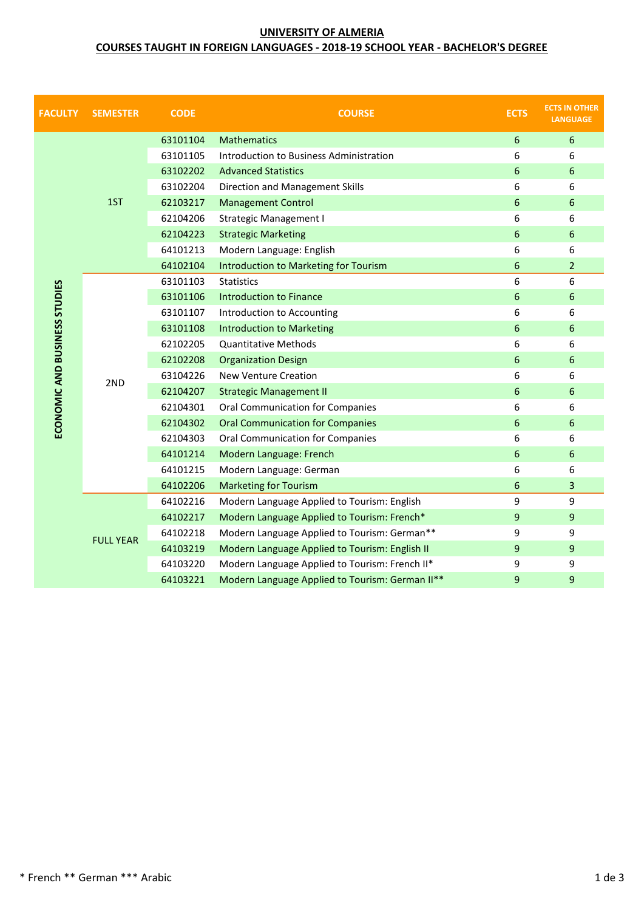### **UNIVERSITY OF ALMERIA**

## **COURSES TAUGHT IN FOREIGN LANGUAGES - 2018-19 SCHOOL YEAR - BACHELOR'S DEGREE**

| <b>FACULTY</b>                | <b>SEMESTER</b>  | <b>CODE</b> | <b>COURSE</b>                                   | <b>ECTS</b> | <b>ECTS IN OTHER</b><br><b>LANGUAGE</b> |
|-------------------------------|------------------|-------------|-------------------------------------------------|-------------|-----------------------------------------|
|                               | 1ST              | 63101104    | <b>Mathematics</b>                              | $\sqrt{6}$  | 6                                       |
|                               |                  | 63101105    | Introduction to Business Administration         | 6           | 6                                       |
|                               |                  | 63102202    | <b>Advanced Statistics</b>                      | 6           | 6                                       |
|                               |                  | 63102204    | Direction and Management Skills                 | 6           | 6                                       |
|                               |                  | 62103217    | <b>Management Control</b>                       | 6           | 6                                       |
|                               |                  | 62104206    | <b>Strategic Management I</b>                   | 6           | 6                                       |
|                               |                  | 62104223    | <b>Strategic Marketing</b>                      | 6           | 6                                       |
|                               |                  | 64101213    | Modern Language: English                        | 6           | 6                                       |
|                               |                  | 64102104    | <b>Introduction to Marketing for Tourism</b>    | 6           | $\overline{2}$                          |
|                               | 2ND              | 63101103    | <b>Statistics</b>                               | 6           | 6                                       |
|                               |                  | 63101106    | <b>Introduction to Finance</b>                  | 6           | 6                                       |
| ECONOMIC AND BUSINESS STUDIES |                  | 63101107    | Introduction to Accounting                      | 6           | 6                                       |
|                               |                  | 63101108    | <b>Introduction to Marketing</b>                | 6           | 6                                       |
|                               |                  | 62102205    | <b>Quantitative Methods</b>                     | 6           | 6                                       |
|                               |                  | 62102208    | <b>Organization Design</b>                      | 6           | 6                                       |
|                               |                  | 63104226    | <b>New Venture Creation</b>                     | 6           | 6                                       |
|                               |                  | 62104207    | <b>Strategic Management II</b>                  | 6           | 6                                       |
|                               |                  | 62104301    | <b>Oral Communication for Companies</b>         | 6           | 6                                       |
|                               |                  | 62104302    | <b>Oral Communication for Companies</b>         | 6           | 6                                       |
|                               |                  | 62104303    | Oral Communication for Companies                | 6           | 6                                       |
|                               |                  | 64101214    | Modern Language: French                         | 6           | 6                                       |
|                               |                  | 64101215    | Modern Language: German                         | 6           | 6                                       |
|                               |                  | 64102206    | <b>Marketing for Tourism</b>                    | 6           | 3                                       |
|                               | <b>FULL YEAR</b> | 64102216    | Modern Language Applied to Tourism: English     | 9           | 9                                       |
|                               |                  | 64102217    | Modern Language Applied to Tourism: French*     | 9           | 9                                       |
|                               |                  | 64102218    | Modern Language Applied to Tourism: German**    | 9           | 9                                       |
|                               |                  | 64103219    | Modern Language Applied to Tourism: English II  | 9           | 9                                       |
|                               |                  | 64103220    | Modern Language Applied to Tourism: French II*  | 9           | 9                                       |
|                               |                  | 64103221    | Modern Language Applied to Tourism: German II** | 9           | 9                                       |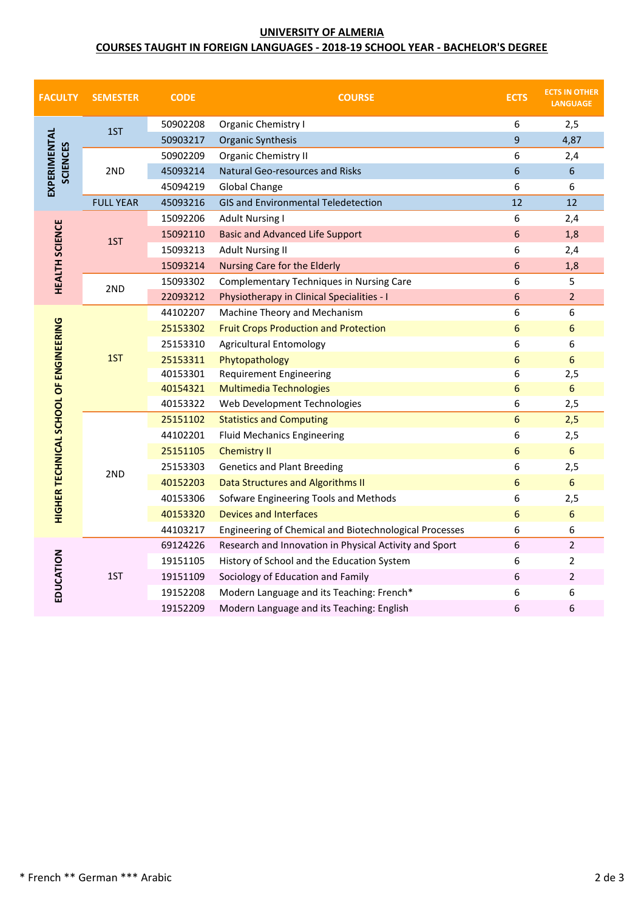### **UNIVERSITY OF ALMERIA**

## **COURSES TAUGHT IN FOREIGN LANGUAGES - 2018-19 SCHOOL YEAR - BACHELOR'S DEGREE**

| <b>FACULTY</b>                         | <b>SEMESTER</b>  | <b>CODE</b> | <b>COURSE</b>                                          | <b>ECTS</b> | <b>ECTS IN OTHER</b><br><b>LANGUAGE</b> |
|----------------------------------------|------------------|-------------|--------------------------------------------------------|-------------|-----------------------------------------|
| EXPERIMENTAL<br><b>SCIENCES</b>        | 1ST              | 50902208    | Organic Chemistry I                                    | 6           | 2,5                                     |
|                                        |                  | 50903217    | Organic Synthesis                                      | 9           | 4,87                                    |
|                                        | 2ND              | 50902209    | Organic Chemistry II                                   | 6           | 2,4                                     |
|                                        |                  | 45093214    | Natural Geo-resources and Risks                        | 6           | $6\phantom{1}$                          |
|                                        |                  | 45094219    | <b>Global Change</b>                                   | 6           | 6                                       |
|                                        | <b>FULL YEAR</b> | 45093216    | GIS and Environmental Teledetection                    | 12          | 12                                      |
| <b>HEALTH SCIENCE</b>                  | 1ST              | 15092206    | <b>Adult Nursing I</b>                                 | 6           | 2,4                                     |
|                                        |                  | 15092110    | <b>Basic and Advanced Life Support</b>                 | 6           | 1,8                                     |
|                                        |                  | 15093213    | <b>Adult Nursing II</b>                                | 6           | 2,4                                     |
|                                        |                  | 15093214    | Nursing Care for the Elderly                           | 6           | 1,8                                     |
|                                        | 2ND              | 15093302    | Complementary Techniques in Nursing Care               | 6           | 5                                       |
|                                        |                  | 22093212    | Physiotherapy in Clinical Specialities - I             | 6           | $\overline{2}$                          |
|                                        | 1ST              | 44102207    | Machine Theory and Mechanism                           | 6           | 6                                       |
|                                        |                  | 25153302    | <b>Fruit Crops Production and Protection</b>           | 6           | 6                                       |
|                                        |                  | 25153310    | <b>Agricultural Entomology</b>                         | 6           | 6                                       |
|                                        |                  | 25153311    | Phytopathology                                         | 6           | 6                                       |
|                                        |                  | 40153301    | <b>Requirement Engineering</b>                         | 6           | 2,5                                     |
|                                        |                  | 40154321    | Multimedia Technologies                                | 6           | 6                                       |
|                                        |                  | 40153322    | Web Development Technologies                           | 6           | 2,5                                     |
|                                        |                  | 25151102    | <b>Statistics and Computing</b>                        | 6           | 2,5                                     |
|                                        | 2ND              | 44102201    | <b>Fluid Mechanics Engineering</b>                     | 6           | 2,5                                     |
|                                        |                  | 25151105    | <b>Chemistry II</b>                                    | 6           | $6\,$                                   |
|                                        |                  | 25153303    | <b>Genetics and Plant Breeding</b>                     | 6           | 2,5                                     |
|                                        |                  | 40152203    | Data Structures and Algorithms II                      | 6           | 6                                       |
|                                        |                  | 40153306    | Sofware Engineering Tools and Methods                  | 6           | 2,5                                     |
| HIGHER TECHNICAL SCHOOL OF ENGINEERING |                  | 40153320    | <b>Devices and Interfaces</b>                          | 6           | 6                                       |
|                                        |                  | 44103217    | Engineering of Chemical and Biotechnological Processes | 6           | 6                                       |
|                                        | 1ST              | 69124226    | Research and Innovation in Physical Activity and Sport | 6           | $\overline{2}$                          |
| EDUCATION                              |                  | 19151105    | History of School and the Education System             | 6           | 2                                       |
|                                        |                  | 19151109    | Sociology of Education and Family                      | 6           | 2                                       |
|                                        |                  | 19152208    | Modern Language and its Teaching: French*              | 6           | 6                                       |
|                                        |                  | 19152209    | Modern Language and its Teaching: English              | 6           | 6                                       |